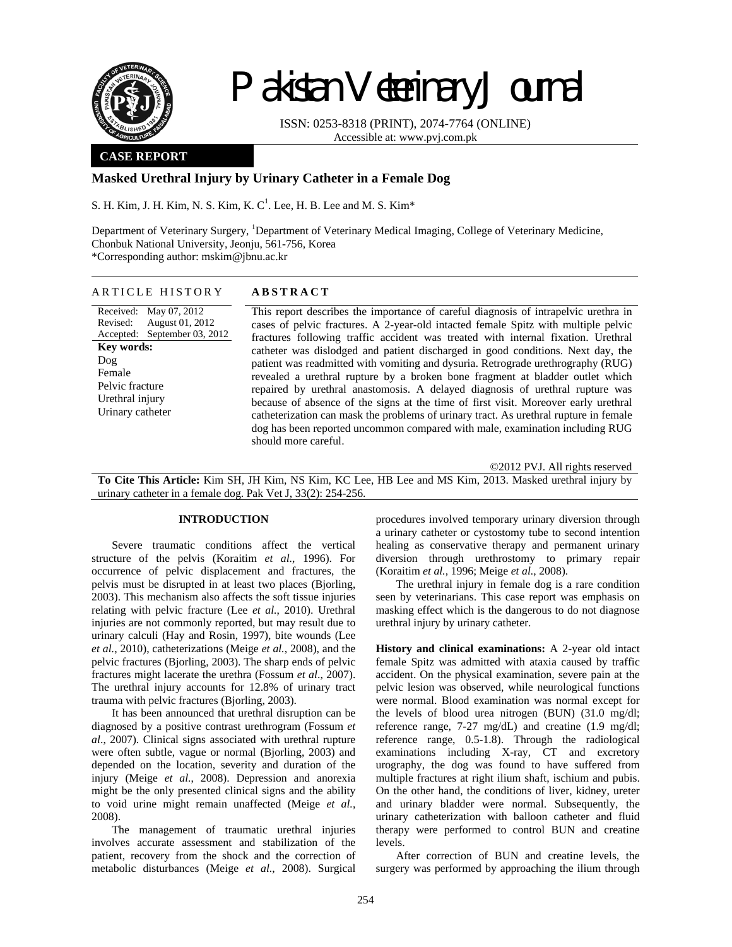

# Pakistan Veterinary Journal

ISSN: 0253-8318 (PRINT), 2074-7764 (ONLINE) Accessible at: www.pvj.com.pk

### **CASE REPORT**

## **Masked Urethral Injury by Urinary Catheter in a Female Dog**

S. H. Kim, J. H. Kim, N. S. Kim, K. C<sup>1</sup>. Lee, H. B. Lee and M. S. Kim $^*$ 

Department of Veterinary Surgery, <sup>1</sup>Department of Veterinary Medical Imaging, College of Veterinary Medicine, Chonbuk National University, Jeonju, 561-756, Korea \*Corresponding author: mskim@jbnu.ac.kr

#### ARTICLE HISTORY **ABSTRACT**

Received: May 07, 2012 Revised: Accepted: September 03, 2012 August 01, 2012 **Key words:**  Dog Female Pelvic fracture Urethral injury Urinary catheter

This report describes the importance of careful diagnosis of intrapelvic urethra in cases of pelvic fractures. A 2-year-old intacted female Spitz with multiple pelvic fractures following traffic accident was treated with internal fixation. Urethral catheter was dislodged and patient discharged in good conditions. Next day, the patient was readmitted with vomiting and dysuria. Retrograde urethrography (RUG) revealed a urethral rupture by a broken bone fragment at bladder outlet which repaired by urethral anastomosis. A delayed diagnosis of urethral rupture was because of absence of the signs at the time of first visit. Moreover early urethral catheterization can mask the problems of urinary tract. As urethral rupture in female dog has been reported uncommon compared with male, examination including RUG should more careful.

©2012 PVJ. All rights reserved **To Cite This Article:** Kim SH, JH Kim, NS Kim, KC Lee, HB Lee and MS Kim, 2013. Masked urethral injury by urinary catheter in a female dog. Pak Vet J, 33(2): 254-256.

### **INTRODUCTION**

Severe traumatic conditions affect the vertical structure of the pelvis (Koraitim *et al.*, 1996). For occurrence of pelvic displacement and fractures, the pelvis must be disrupted in at least two places (Bjorling, 2003). This mechanism also affects the soft tissue injuries relating with pelvic fracture (Lee *et al.*, 2010). Urethral injuries are not commonly reported, but may result due to urinary calculi (Hay and Rosin, 1997), bite wounds (Lee *et al.*, 2010), catheterizations (Meige *et al.*, 2008), and the pelvic fractures (Bjorling, 2003). The sharp ends of pelvic fractures might lacerate the urethra (Fossum *et al*., 2007). The urethral injury accounts for 12.8% of urinary tract trauma with pelvic fractures (Bjorling, 2003).

It has been announced that urethral disruption can be diagnosed by a positive contrast urethrogram (Fossum *et al*., 2007). Clinical signs associated with urethral rupture were often subtle, vague or normal (Bjorling, 2003) and depended on the location, severity and duration of the injury (Meige *et al.*, 2008). Depression and anorexia might be the only presented clinical signs and the ability to void urine might remain unaffected (Meige *et al.*, 2008).

The management of traumatic urethral injuries involves accurate assessment and stabilization of the patient, recovery from the shock and the correction of metabolic disturbances (Meige *et al.*, 2008). Surgical

procedures involved temporary urinary diversion through a urinary catheter or cystostomy tube to second intention healing as conservative therapy and permanent urinary diversion through urethrostomy to primary repair (Koraitim *et al.*, 1996; Meige *et al.*, 2008).

The urethral injury in female dog is a rare condition seen by veterinarians. This case report was emphasis on masking effect which is the dangerous to do not diagnose urethral injury by urinary catheter.

**History and clinical examinations:** A 2-year old intact female Spitz was admitted with ataxia caused by traffic accident. On the physical examination, severe pain at the pelvic lesion was observed, while neurological functions were normal. Blood examination was normal except for the levels of blood urea nitrogen (BUN) (31.0 mg/dl; reference range, 7-27 mg/dL) and creatine (1.9 mg/dl; reference range, 0.5-1.8). Through the radiological examinations including X-ray, CT and excretory urography, the dog was found to have suffered from multiple fractures at right ilium shaft, ischium and pubis. On the other hand, the conditions of liver, kidney, ureter and urinary bladder were normal. Subsequently, the urinary catheterization with balloon catheter and fluid therapy were performed to control BUN and creatine levels.

After correction of BUN and creatine levels, the surgery was performed by approaching the ilium through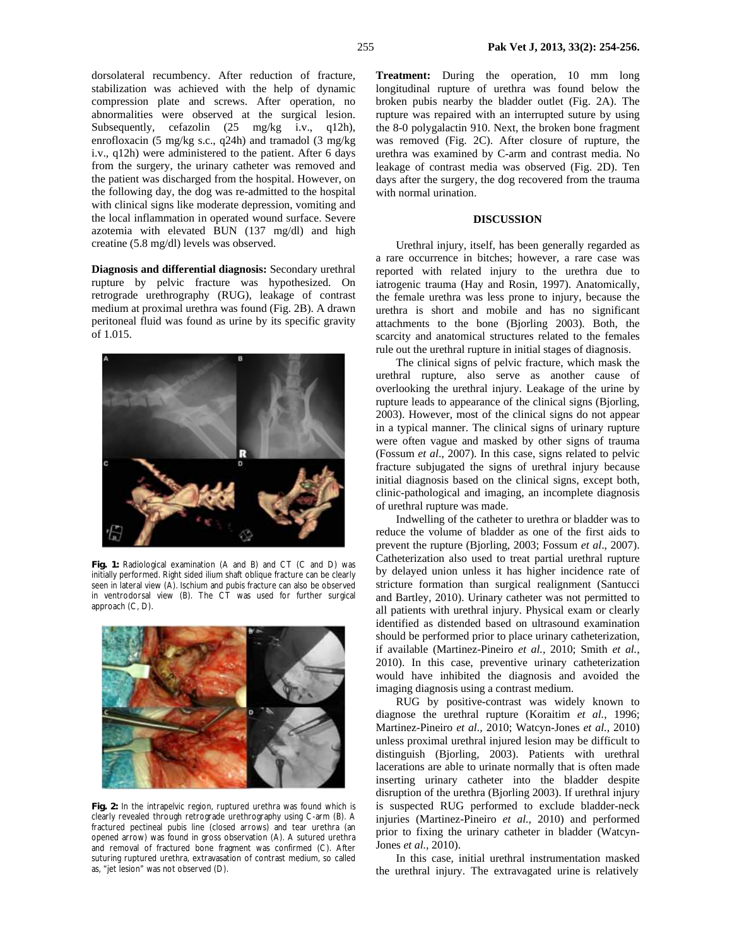dorsolateral recumbency. After reduction of fracture, stabilization was achieved with the help of dynamic compression plate and screws. After operation, no abnormalities were observed at the surgical lesion. Subsequently, cefazolin  $(25 \text{ mg/kg} \text{ i.v.}, \text{ q12h})$ , enrofloxacin (5 mg/kg s.c., q24h) and tramadol (3 mg/kg i.v., q12h) were administered to the patient. After 6 days from the surgery, the urinary catheter was removed and the patient was discharged from the hospital. However, on the following day, the dog was re-admitted to the hospital with clinical signs like moderate depression, vomiting and the local inflammation in operated wound surface. Severe azotemia with elevated BUN (137 mg/dl) and high creatine (5.8 mg/dl) levels was observed.

**Diagnosis and differential diagnosis:** Secondary urethral rupture by pelvic fracture was hypothesized. On retrograde urethrography (RUG), leakage of contrast medium at proximal urethra was found (Fig. 2B). A drawn peritoneal fluid was found as urine by its specific gravity of 1.015.



**Fig. 1:** Radiological examination (A and B) and CT (C and D) was initially performed. Right sided ilium shaft oblique fracture can be clearly seen in lateral view (A). Ischium and pubis fracture can also be observed in ventrodorsal view (B). The CT was used for further surgical approach (C, D).



**Fig. 2:** In the intrapelvic region, ruptured urethra was found which is clearly revealed through retrograde urethrography using C-arm (B). A fractured pectineal pubis line (closed arrows) and tear urethra (an opened arrow) was found in gross observation (A). A sutured urethra and removal of fractured bone fragment was confirmed (C). After suturing ruptured urethra, extravasation of contrast medium, so called as, "jet lesion" was not observed (D).

**Treatment:** During the operation, 10 mm long longitudinal rupture of urethra was found below the broken pubis nearby the bladder outlet (Fig. 2A). The rupture was repaired with an interrupted suture by using the 8-0 polygalactin 910. Next, the broken bone fragment was removed (Fig. 2C). After closure of rupture, the urethra was examined by C-arm and contrast media. No leakage of contrast media was observed (Fig. 2D). Ten days after the surgery, the dog recovered from the trauma with normal urination.

#### **DISCUSSION**

Urethral injury, itself, has been generally regarded as a rare occurrence in bitches; however, a rare case was reported with related injury to the urethra due to iatrogenic trauma (Hay and Rosin, 1997). Anatomically, the female urethra was less prone to injury, because the urethra is short and mobile and has no significant attachments to the bone (Bjorling 2003). Both, the scarcity and anatomical structures related to the females rule out the urethral rupture in initial stages of diagnosis.

The clinical signs of pelvic fracture, which mask the urethral rupture, also serve as another cause of overlooking the urethral injury. Leakage of the urine by rupture leads to appearance of the clinical signs (Bjorling, 2003). However, most of the clinical signs do not appear in a typical manner. The clinical signs of urinary rupture were often vague and masked by other signs of trauma (Fossum *et al*., 2007). In this case, signs related to pelvic fracture subjugated the signs of urethral injury because initial diagnosis based on the clinical signs, except both, clinic-pathological and imaging, an incomplete diagnosis of urethral rupture was made.

Indwelling of the catheter to urethra or bladder was to reduce the volume of bladder as one of the first aids to prevent the rupture (Bjorling, 2003; Fossum *et al*., 2007). Catheterization also used to treat partial urethral rupture by delayed union unless it has higher incidence rate of stricture formation than surgical realignment (Santucci and Bartley, 2010). Urinary catheter was not permitted to all patients with urethral injury. Physical exam or clearly identified as distended based on ultrasound examination should be performed prior to place urinary catheterization, if available (Martinez-Pineiro *et al.,* 2010; Smith *et al.*, 2010). In this case, preventive urinary catheterization would have inhibited the diagnosis and avoided the imaging diagnosis using a contrast medium.

RUG by positive-contrast was widely known to diagnose the urethral rupture (Koraitim *et al.*, 1996; Martinez-Pineiro *et al.,* 2010; Watcyn-Jones *et al.,* 2010) unless proximal urethral injured lesion may be difficult to distinguish (Bjorling, 2003). Patients with urethral lacerations are able to urinate normally that is often made inserting urinary catheter into the bladder despite disruption of the urethra (Bjorling 2003). If urethral injury is suspected RUG performed to exclude bladder-neck injuries (Martinez-Pineiro *et al.,* 2010) and performed prior to fixing the urinary catheter in bladder (Watcyn-Jones *et al.,* 2010).

In this case, initial urethral instrumentation masked the urethral injury. The extravagated urine is relatively